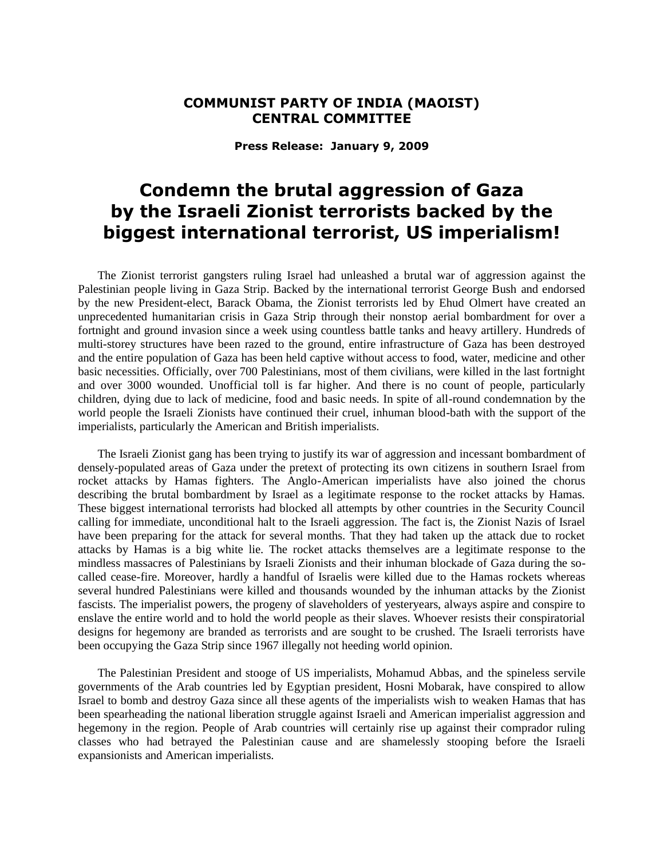## **COMMUNIST PARTY OF INDIA (MAOIST) CENTRAL COMMITTEE**

**Press Release: January 9, 2009**

## **Condemn the brutal aggression of Gaza by the Israeli Zionist terrorists backed by the biggest international terrorist, US imperialism!**

The Zionist terrorist gangsters ruling Israel had unleashed a brutal war of aggression against the Palestinian people living in Gaza Strip. Backed by the international terrorist George Bush and endorsed by the new President-elect, Barack Obama, the Zionist terrorists led by Ehud Olmert have created an unprecedented humanitarian crisis in Gaza Strip through their nonstop aerial bombardment for over a fortnight and ground invasion since a week using countless battle tanks and heavy artillery. Hundreds of multi-storey structures have been razed to the ground, entire infrastructure of Gaza has been destroyed and the entire population of Gaza has been held captive without access to food, water, medicine and other basic necessities. Officially, over 700 Palestinians, most of them civilians, were killed in the last fortnight and over 3000 wounded. Unofficial toll is far higher. And there is no count of people, particularly children, dying due to lack of medicine, food and basic needs. In spite of all-round condemnation by the world people the Israeli Zionists have continued their cruel, inhuman blood-bath with the support of the imperialists, particularly the American and British imperialists.

The Israeli Zionist gang has been trying to justify its war of aggression and incessant bombardment of densely-populated areas of Gaza under the pretext of protecting its own citizens in southern Israel from rocket attacks by Hamas fighters. The Anglo-American imperialists have also joined the chorus describing the brutal bombardment by Israel as a legitimate response to the rocket attacks by Hamas. These biggest international terrorists had blocked all attempts by other countries in the Security Council calling for immediate, unconditional halt to the Israeli aggression. The fact is, the Zionist Nazis of Israel have been preparing for the attack for several months. That they had taken up the attack due to rocket attacks by Hamas is a big white lie. The rocket attacks themselves are a legitimate response to the mindless massacres of Palestinians by Israeli Zionists and their inhuman blockade of Gaza during the socalled cease-fire. Moreover, hardly a handful of Israelis were killed due to the Hamas rockets whereas several hundred Palestinians were killed and thousands wounded by the inhuman attacks by the Zionist fascists. The imperialist powers, the progeny of slaveholders of yesteryears, always aspire and conspire to enslave the entire world and to hold the world people as their slaves. Whoever resists their conspiratorial designs for hegemony are branded as terrorists and are sought to be crushed. The Israeli terrorists have been occupying the Gaza Strip since 1967 illegally not heeding world opinion.

The Palestinian President and stooge of US imperialists, Mohamud Abbas, and the spineless servile governments of the Arab countries led by Egyptian president, Hosni Mobarak, have conspired to allow Israel to bomb and destroy Gaza since all these agents of the imperialists wish to weaken Hamas that has been spearheading the national liberation struggle against Israeli and American imperialist aggression and hegemony in the region. People of Arab countries will certainly rise up against their comprador ruling classes who had betrayed the Palestinian cause and are shamelessly stooping before the Israeli expansionists and American imperialists.